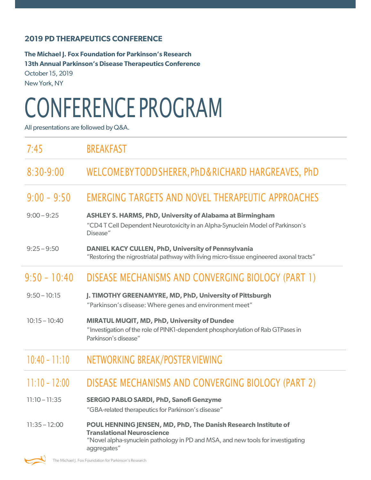## **2019 PD THERAPEUTICS CONFERENCE**

**The Michael J. Fox Foundation for Parkinson's Research 13th Annual Parkinson's Disease Therapeutics Conference**  October 15, 2019 New York, NY

## CONFERENCE PROGRAM

All presentations are followed by Q&A.

| 7:45            | <b>BREAKFAST</b>                                                                                                                                                                                      |
|-----------------|-------------------------------------------------------------------------------------------------------------------------------------------------------------------------------------------------------|
| $8:30-9:00$     | WELCOMEBYTODD SHERER, PhD&RICHARD HARGREAVES, PhD                                                                                                                                                     |
| $9:00 - 9:50$   | EMERGING TARGETS AND NOVEL THERAPEUTIC APPROACHES                                                                                                                                                     |
| $9:00 - 9:25$   | <b>ASHLEY S. HARMS, PhD, University of Alabama at Birmingham</b><br>"CD4 T Cell Dependent Neurotoxicity in an Alpha-Synuclein Model of Parkinson's<br>Disease"                                        |
| $9:25 - 9:50$   | <b>DANIEL KACY CULLEN, PhD, University of Pennsylvania</b><br>"Restoring the nigrostriatal pathway with living micro-tissue engineered axonal tracts"                                                 |
| $9:50 - 10:40$  | DISEASE MECHANISMS AND CONVERGING BIOLOGY (PART 1)                                                                                                                                                    |
| $9:50 - 10:15$  | J. TIMOTHY GREENAMYRE, MD, PhD, University of Pittsburgh<br>"Parkinson's disease: Where genes and environment meet"                                                                                   |
| $10:15 - 10:40$ | MIRATUL MUQIT, MD, PhD, University of Dundee<br>"Investigation of the role of PINK1-dependent phosphorylation of Rab GTPases in<br>Parkinson's disease"                                               |
| $10:40 - 11:10$ | NETWORKING BREAK/POSTER VIEWING                                                                                                                                                                       |
| $11:10 - 12:00$ | DISEASE MECHANISMS AND CONVERGING BIOLOGY (PART 2)                                                                                                                                                    |
| $11:10 - 11:35$ | <b>SERGIO PABLO SARDI, PhD, Sanofi Genzyme</b><br>"GBA-related therapeutics for Parkinson's disease"                                                                                                  |
| $11:35 - 12:00$ | POUL HENNING JENSEN, MD, PhD, The Danish Research Institute of<br><b>Translational Neuroscience</b><br>"Novel alpha-synuclein pathology in PD and MSA, and new tools for investigating<br>aggregates" |